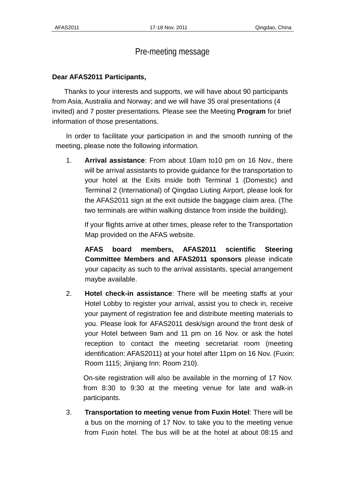## Pre-meeting message

## **Dear AFAS2011 Participants,**

 Thanks to your interests and supports, we will have about 90 participants from Asia, Australia and Norway; and we will have 35 oral presentations (4 invited) and 7 poster presentations. Please see the Meeting **Program** for brief information of those presentations.

In order to facilitate your participation in and the smooth running of the meeting, please note the following information.

1. **Arrival assistance**: From about 10am to10 pm on 16 Nov., there will be arrival assistants to provide guidance for the transportation to your hotel at the Exits inside both Terminal 1 (Domestic) and Terminal 2 (International) of Qingdao Liuting Airport, please look for the AFAS2011 sign at the exit outside the baggage claim area. (The two terminals are within walking distance from inside the building).

If your flights arrive at other times, please refer to the Transportation Map provided on the AFAS website.

**AFAS board members, AFAS2011 scientific Steering Committee Members and AFAS2011 sponsors** please indicate your capacity as such to the arrival assistants, special arrangement maybe available.

2. **Hotel check-in assistance**: There will be meeting staffs at your Hotel Lobby to register your arrival, assist you to check in, receive your payment of registration fee and distribute meeting materials to you. Please look for AFAS2011 desk/sign around the front desk of your Hotel between 9am and 11 pm on 16 Nov. or ask the hotel reception to contact the meeting secretariat room (meeting identification: AFAS2011) at your hotel after 11pm on 16 Nov. (Fuxin: Room 1115; Jinjiang Inn: Room 210).

On-site registration will also be available in the morning of 17 Nov. from 8:30 to 9:30 at the meeting venue for late and walk-in participants.

3. **Transportation to meeting venue from Fuxin Hotel**: There will be a bus on the morning of 17 Nov. to take you to the meeting venue from Fuxin hotel. The bus will be at the hotel at about 08:15 and